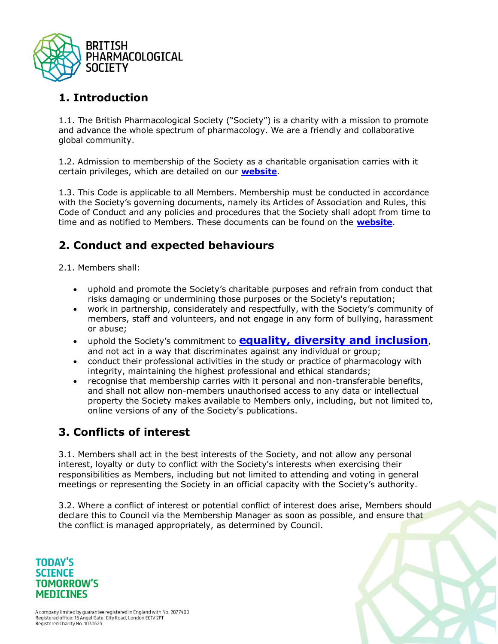

# **1. Introduction**

1.1. The British Pharmacological Society ("Society") is a charity with a mission to promote and advance the whole spectrum of pharmacology. We are a friendly and collaborative global community.

1.2. Admission to membership of the Society as a charitable organisation carries with it certain privileges, which are detailed on our **[website](https://www.bps.ac.uk/membership-awards/society-membership)**.

1.3. This Code is applicable to all Members. Membership must be conducted in accordance with the Society's governing documents, namely its Articles of Association and Rules, this Code of Conduct and any policies and procedures that the Society shall adopt from time to time and as notified to Members. These documents can be found on the **[website](https://www.bps.ac.uk/my-society/documents-forms)**.

# **2. Conduct and expected behaviours**

2.1. Members shall:

- uphold and promote the Society's charitable purposes and refrain from conduct that risks damaging or undermining those purposes or the Society's reputation;
- work in partnership, considerately and respectfully, with the Society's community of members, staff and volunteers, and not engage in any form of bullying, harassment or abuse;
- uphold the Society's commitment to **[equality, diversity and inclusion](/media-library-assets/library/equality-and-diversity-statement)**, and not act in a way that discriminates against any individual or group;
- conduct their professional activities in the study or practice of pharmacology with integrity, maintaining the highest professional and ethical standards;
- recognise that membership carries with it personal and non-transferable benefits, and shall not allow non-members unauthorised access to any data or intellectual property the Society makes available to Members only, including, but not limited to, online versions of any of the Society's publications.

## **3. Conflicts of interest**

3.1. Members shall act in the best interests of the Society, and not allow any personal interest, loyalty or duty to conflict with the Society's interests when exercising their responsibilities as Members, including but not limited to attending and voting in general meetings or representing the Society in an official capacity with the Society's authority.

3.2. Where a conflict of interest or potential conflict of interest does arise, Members should declare this to Council via the Membership Manager as soon as possible, and ensure that the conflict is managed appropriately, as determined by Council.